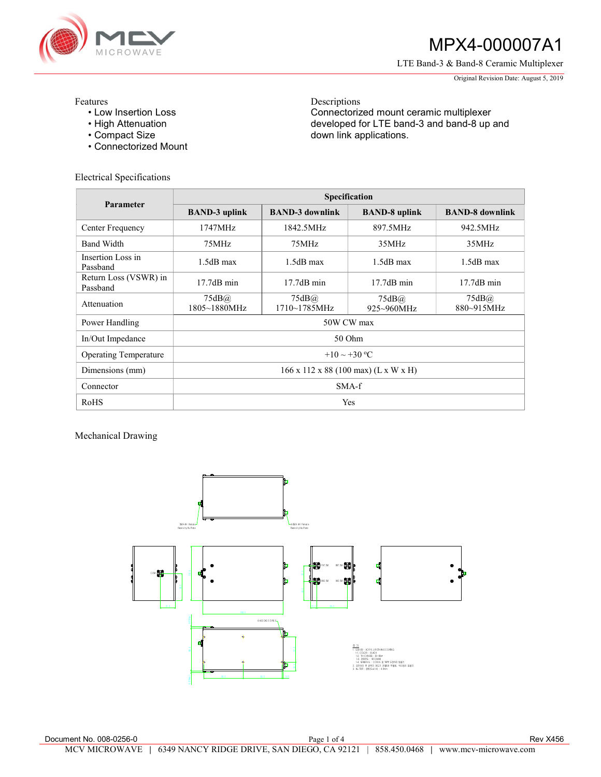

# MPX4-000007A1

LTE Band-3 & Band-8 Ceramic Multiplexer

Original Revision Date: August 5, 2019

Features

- Low Insertion Loss
- High Attenuation
- Compact Size
- Connectorized Mount

Electrical Specifications

Descriptions Connectorized mount ceramic multiplexer developed for LTE band-3 and band-8 up and down link applications.

| Parameter                         | <b>Specification</b>                 |                        |                      |                        |
|-----------------------------------|--------------------------------------|------------------------|----------------------|------------------------|
|                                   | <b>BAND-3 uplink</b>                 | <b>BAND-3 downlink</b> | <b>BAND-8</b> uplink | <b>BAND-8</b> downlink |
| Center Frequency                  | 1747MHz                              | 1842.5MHz              | 897.5MHz             | 942.5MHz               |
| <b>Band Width</b>                 | 75MHz                                | 75MHz                  | 35MHz                | 35MHz                  |
| Insertion Loss in<br>Passband     | $1.5dB$ max                          | $1.5dB$ max            | $1.5dB$ max          | $1.5dB$ max            |
| Return Loss (VSWR) in<br>Passband | $17.7dB$ min                         | $17.7dB$ min           | $17.7dB$ min         | $17.7dB$ min           |
| Attenuation                       | 75dB@<br>1805~1880MHz                | 75dB@<br>1710~1785MHz  | 75dB@<br>925~960MHz  | 75dB@<br>880~915MHz    |
| Power Handling                    | 50W CW max                           |                        |                      |                        |
| In/Out Impedance                  | 50 Ohm                               |                        |                      |                        |
| <b>Operating Temperature</b>      | $+10 \sim +30$ °C                    |                        |                      |                        |
| Dimensions (mm)                   | 166 x 112 x 88 (100 max) (L x W x H) |                        |                      |                        |
| Connector                         | $SMA-f$                              |                        |                      |                        |
| RoHS                              | Yes                                  |                        |                      |                        |

Mechanical Drawing

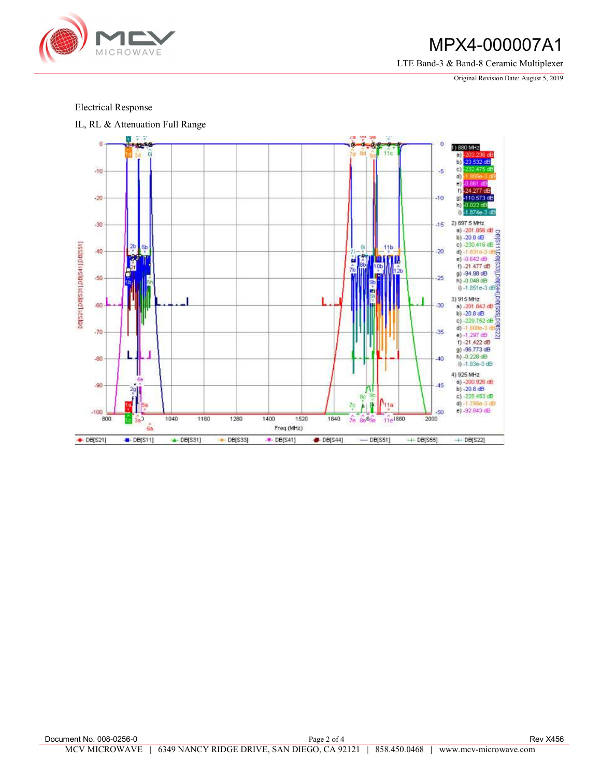

### MPX4-000007A1

LTE Band-3 & Band-8 Ceramic Multiplexer

Original Revision Date: August 5, 2019

### Electrical Response

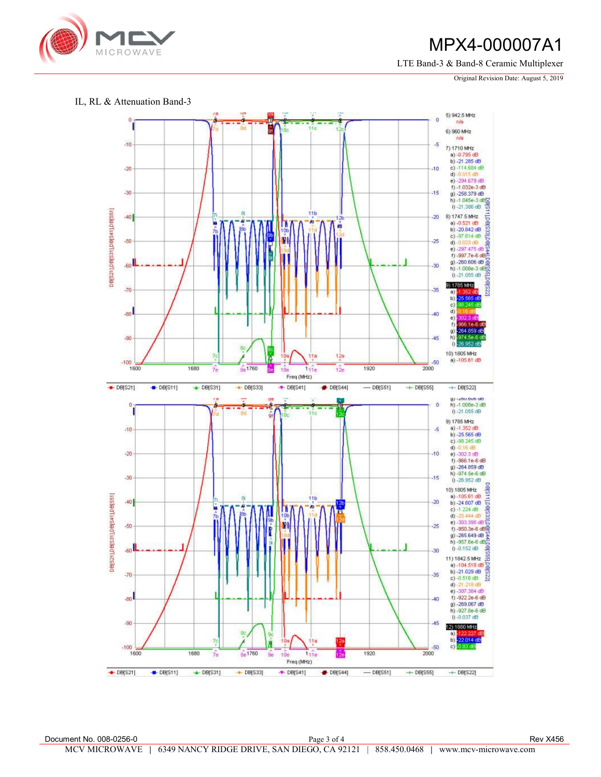

## MPX4-000007A1

LTE Band-3 & Band-8 Ceramic Multiplexer

Original Revision Date: August 5, 2019

#### IL, RL & Attenuation Band-3